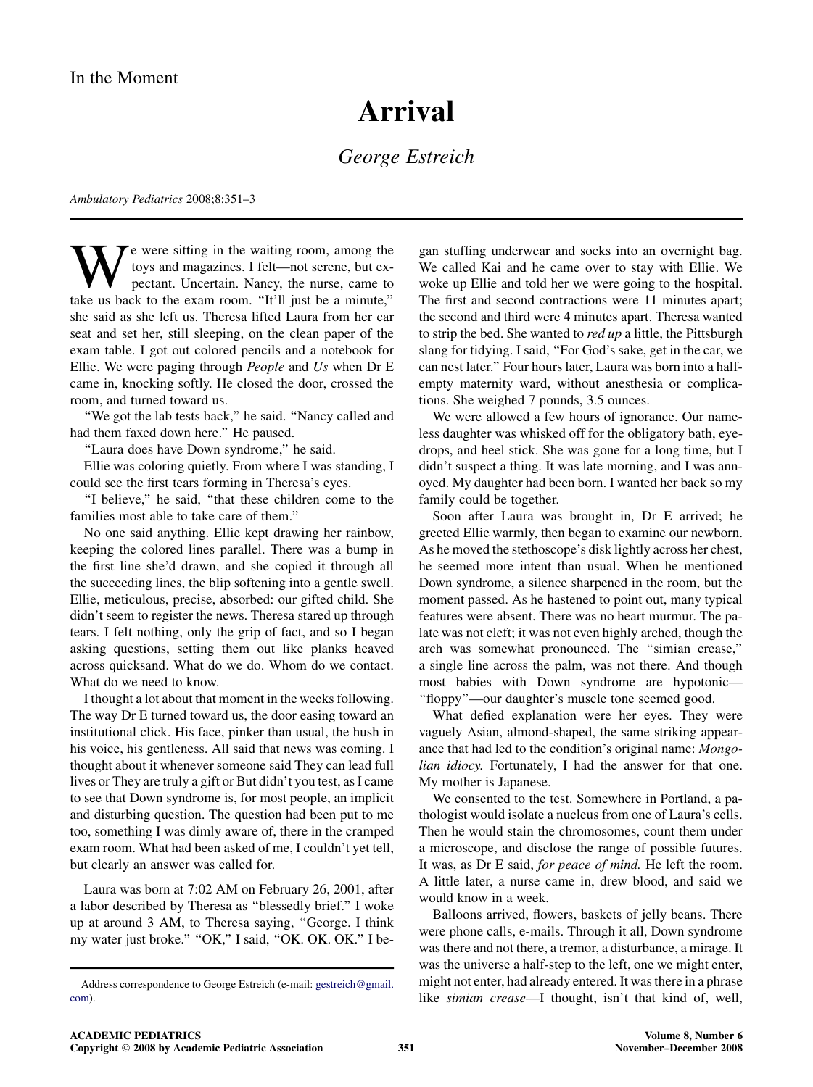## Arrival

George Estreich

Ambulatory Pediatrics 2008;8:351–3

e were sitting in the waiting room, among the toys and magazines. I felt—not serene, but expectant. Uncertain. Nancy, the nurse, came to take us back to the exam room. ''It'll just be a minute,'' she said as she left us. Theresa lifted Laura from her car seat and set her, still sleeping, on the clean paper of the exam table. I got out colored pencils and a notebook for Ellie. We were paging through People and Us when Dr E came in, knocking softly. He closed the door, crossed the room, and turned toward us.

''We got the lab tests back,'' he said. ''Nancy called and had them faxed down here.'' He paused.

''Laura does have Down syndrome,'' he said.

Ellie was coloring quietly. From where I was standing, I could see the first tears forming in Theresa's eyes.

''I believe,'' he said, ''that these children come to the families most able to take care of them.''

No one said anything. Ellie kept drawing her rainbow, keeping the colored lines parallel. There was a bump in the first line she'd drawn, and she copied it through all the succeeding lines, the blip softening into a gentle swell. Ellie, meticulous, precise, absorbed: our gifted child. She didn't seem to register the news. Theresa stared up through tears. I felt nothing, only the grip of fact, and so I began asking questions, setting them out like planks heaved across quicksand. What do we do. Whom do we contact. What do we need to know.

I thought a lot about that moment in the weeks following. The way Dr E turned toward us, the door easing toward an institutional click. His face, pinker than usual, the hush in his voice, his gentleness. All said that news was coming. I thought about it whenever someone said They can lead full lives or They are truly a gift or But didn't you test, as I came to see that Down syndrome is, for most people, an implicit and disturbing question. The question had been put to me too, something I was dimly aware of, there in the cramped exam room. What had been asked of me, I couldn't yet tell, but clearly an answer was called for.

Laura was born at 7:02 AM on February 26, 2001, after a labor described by Theresa as ''blessedly brief.'' I woke up at around 3 AM, to Theresa saying, ''George. I think my water just broke." "OK," I said, "OK. OK. OK." I be-

gan stuffing underwear and socks into an overnight bag. We called Kai and he came over to stay with Ellie. We woke up Ellie and told her we were going to the hospital. The first and second contractions were 11 minutes apart; the second and third were 4 minutes apart. Theresa wanted to strip the bed. She wanted to red up a little, the Pittsburgh slang for tidying. I said, ''For God's sake, get in the car, we can nest later.'' Four hours later, Laura was born into a halfempty maternity ward, without anesthesia or complications. She weighed 7 pounds, 3.5 ounces.

We were allowed a few hours of ignorance. Our nameless daughter was whisked off for the obligatory bath, eyedrops, and heel stick. She was gone for a long time, but I didn't suspect a thing. It was late morning, and I was annoyed. My daughter had been born. I wanted her back so my family could be together.

Soon after Laura was brought in, Dr E arrived; he greeted Ellie warmly, then began to examine our newborn. As he moved the stethoscope's disk lightly across her chest, he seemed more intent than usual. When he mentioned Down syndrome, a silence sharpened in the room, but the moment passed. As he hastened to point out, many typical features were absent. There was no heart murmur. The palate was not cleft; it was not even highly arched, though the arch was somewhat pronounced. The ''simian crease,'' a single line across the palm, was not there. And though most babies with Down syndrome are hypotonic— ''floppy''—our daughter's muscle tone seemed good.

What defied explanation were her eyes. They were vaguely Asian, almond-shaped, the same striking appearance that had led to the condition's original name: Mongolian idiocy. Fortunately, I had the answer for that one. My mother is Japanese.

We consented to the test. Somewhere in Portland, a pathologist would isolate a nucleus from one of Laura's cells. Then he would stain the chromosomes, count them under a microscope, and disclose the range of possible futures. It was, as Dr E said, for peace of mind. He left the room. A little later, a nurse came in, drew blood, and said we would know in a week.

Balloons arrived, flowers, baskets of jelly beans. There were phone calls, e-mails. Through it all, Down syndrome was there and not there, a tremor, a disturbance, a mirage. It was the universe a half-step to the left, one we might enter, might not enter, had already entered. It was there in a phrase like *simian crease*—I thought, isn't that kind of, well,

Address correspondence to George Estreich (e-mail: [gestreich@gmail.](mailto:gestreich@gmail.com) [com](mailto:gestreich@gmail.com)).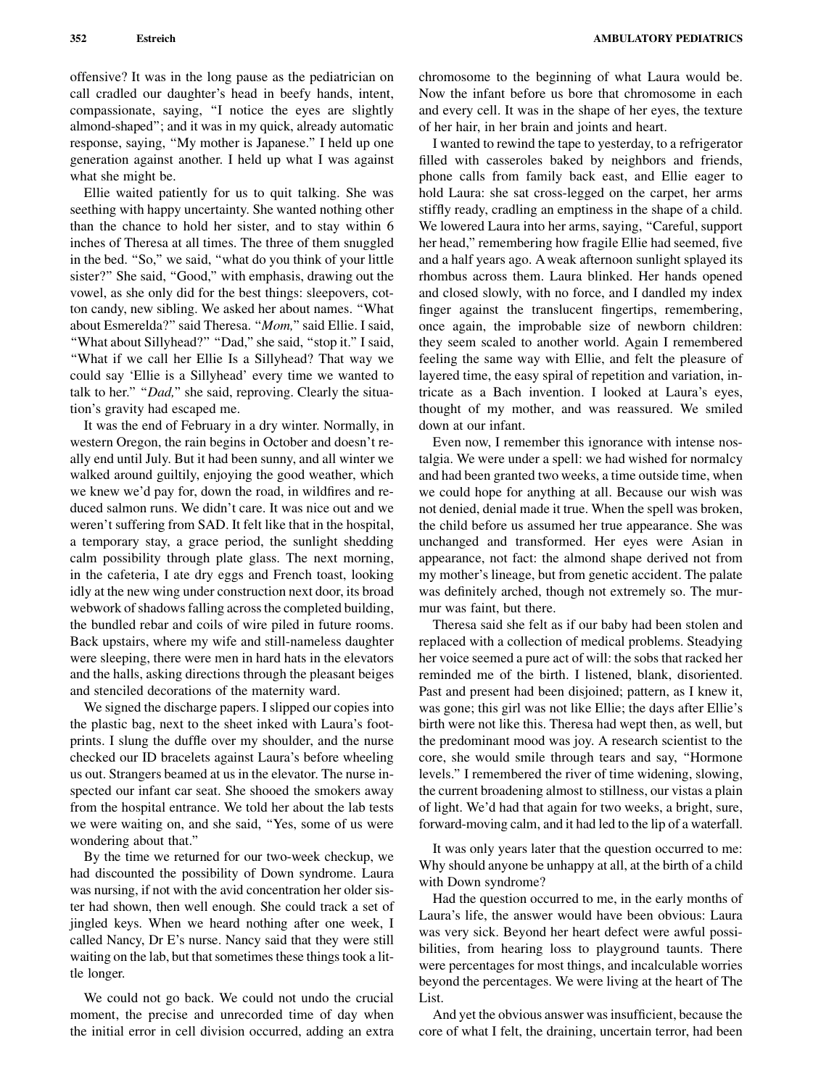352 Estreich AMBULATORY PEDIATRICS

offensive? It was in the long pause as the pediatrician on call cradled our daughter's head in beefy hands, intent, compassionate, saying, ''I notice the eyes are slightly almond-shaped''; and it was in my quick, already automatic response, saying, ''My mother is Japanese.'' I held up one generation against another. I held up what I was against what she might be.

Ellie waited patiently for us to quit talking. She was seething with happy uncertainty. She wanted nothing other than the chance to hold her sister, and to stay within 6 inches of Theresa at all times. The three of them snuggled in the bed. "So," we said, "what do you think of your little sister?" She said, "Good," with emphasis, drawing out the vowel, as she only did for the best things: sleepovers, cotton candy, new sibling. We asked her about names. ''What about Esmerelda?" said Theresa. "Mom," said Ellie. I said, ''What about Sillyhead?'' ''Dad,'' she said, ''stop it.'' I said, ''What if we call her Ellie Is a Sillyhead? That way we could say 'Ellie is a Sillyhead' every time we wanted to talk to her." "Dad," she said, reproving. Clearly the situation's gravity had escaped me.

It was the end of February in a dry winter. Normally, in western Oregon, the rain begins in October and doesn't really end until July. But it had been sunny, and all winter we walked around guiltily, enjoying the good weather, which we knew we'd pay for, down the road, in wildfires and reduced salmon runs. We didn't care. It was nice out and we weren't suffering from SAD. It felt like that in the hospital, a temporary stay, a grace period, the sunlight shedding calm possibility through plate glass. The next morning, in the cafeteria, I ate dry eggs and French toast, looking idly at the new wing under construction next door, its broad webwork of shadows falling across the completed building, the bundled rebar and coils of wire piled in future rooms. Back upstairs, where my wife and still-nameless daughter were sleeping, there were men in hard hats in the elevators and the halls, asking directions through the pleasant beiges and stenciled decorations of the maternity ward.

We signed the discharge papers. I slipped our copies into the plastic bag, next to the sheet inked with Laura's footprints. I slung the duffle over my shoulder, and the nurse checked our ID bracelets against Laura's before wheeling us out. Strangers beamed at us in the elevator. The nurse inspected our infant car seat. She shooed the smokers away from the hospital entrance. We told her about the lab tests we were waiting on, and she said, ''Yes, some of us were wondering about that.''

By the time we returned for our two-week checkup, we had discounted the possibility of Down syndrome. Laura was nursing, if not with the avid concentration her older sister had shown, then well enough. She could track a set of jingled keys. When we heard nothing after one week, I called Nancy, Dr E's nurse. Nancy said that they were still waiting on the lab, but that sometimes these things took a little longer.

We could not go back. We could not undo the crucial moment, the precise and unrecorded time of day when the initial error in cell division occurred, adding an extra chromosome to the beginning of what Laura would be. Now the infant before us bore that chromosome in each and every cell. It was in the shape of her eyes, the texture of her hair, in her brain and joints and heart.

I wanted to rewind the tape to yesterday, to a refrigerator filled with casseroles baked by neighbors and friends, phone calls from family back east, and Ellie eager to hold Laura: she sat cross-legged on the carpet, her arms stiffly ready, cradling an emptiness in the shape of a child. We lowered Laura into her arms, saying, ''Careful, support her head,'' remembering how fragile Ellie had seemed, five and a half years ago. A weak afternoon sunlight splayed its rhombus across them. Laura blinked. Her hands opened and closed slowly, with no force, and I dandled my index finger against the translucent fingertips, remembering, once again, the improbable size of newborn children: they seem scaled to another world. Again I remembered feeling the same way with Ellie, and felt the pleasure of layered time, the easy spiral of repetition and variation, intricate as a Bach invention. I looked at Laura's eyes, thought of my mother, and was reassured. We smiled down at our infant.

Even now, I remember this ignorance with intense nostalgia. We were under a spell: we had wished for normalcy and had been granted two weeks, a time outside time, when we could hope for anything at all. Because our wish was not denied, denial made it true. When the spell was broken, the child before us assumed her true appearance. She was unchanged and transformed. Her eyes were Asian in appearance, not fact: the almond shape derived not from my mother's lineage, but from genetic accident. The palate was definitely arched, though not extremely so. The murmur was faint, but there.

Theresa said she felt as if our baby had been stolen and replaced with a collection of medical problems. Steadying her voice seemed a pure act of will: the sobs that racked her reminded me of the birth. I listened, blank, disoriented. Past and present had been disjoined; pattern, as I knew it, was gone; this girl was not like Ellie; the days after Ellie's birth were not like this. Theresa had wept then, as well, but the predominant mood was joy. A research scientist to the core, she would smile through tears and say, ''Hormone levels.'' I remembered the river of time widening, slowing, the current broadening almost to stillness, our vistas a plain of light. We'd had that again for two weeks, a bright, sure, forward-moving calm, and it had led to the lip of a waterfall.

It was only years later that the question occurred to me: Why should anyone be unhappy at all, at the birth of a child with Down syndrome?

Had the question occurred to me, in the early months of Laura's life, the answer would have been obvious: Laura was very sick. Beyond her heart defect were awful possibilities, from hearing loss to playground taunts. There were percentages for most things, and incalculable worries beyond the percentages. We were living at the heart of The List.

And yet the obvious answer was insufficient, because the core of what I felt, the draining, uncertain terror, had been